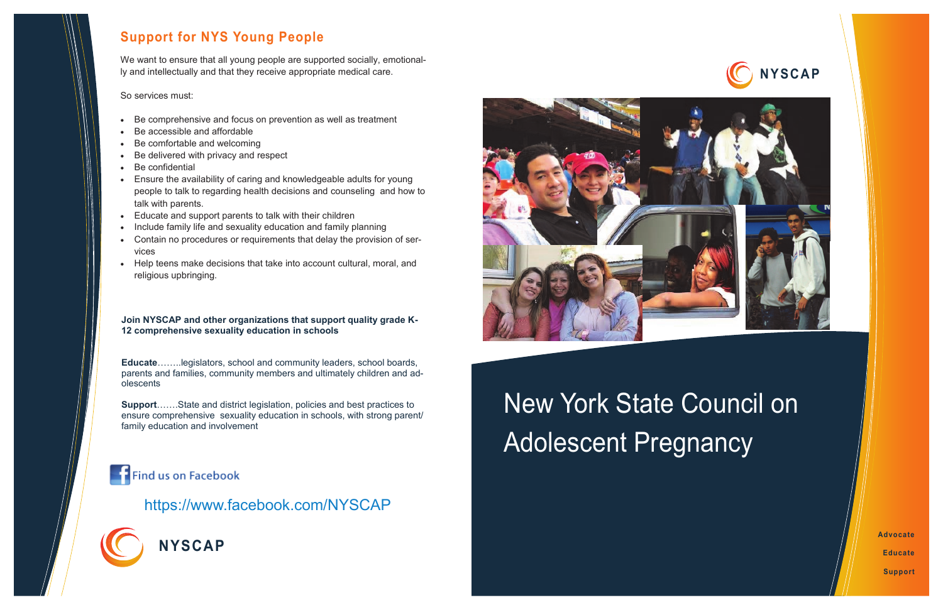





https://www.facebook.com/NYSCAP

# New York State Council on Adolescent Pregnancy

**Advocate Educate Support** 



### **Support for NYS Young People**

We want to ensure that all young people are supported socially, emotionally and intellectually and that they receive appropriate medical care.

So services must:

- Be comprehensive and focus on prevention as well as treatment
- Be accessible and affordable
- Be comfortable and welcoming
- Be delivered with privacy and respect
- Be confidential
- Ensure the availability of caring and knowledgeable adults for young people to talk to regarding health decisions and counseling and how to talk with parents.
- Educate and support parents to talk with their children
- Include family life and sexuality education and family planning
- Contain no procedures or requirements that delay the provision of services
- Help teens make decisions that take into account cultural, moral, and religious upbringing.

#### **Join NYSCAP and other organizations that support quality grade K-12 comprehensive sexuality education in schools**

**Educate**……..legislators, school and community leaders, school boards, parents and families, community members and ultimately children and adolescents

**Support**…….State and district legislation, policies and best practices to ensure comprehensive sexuality education in schools, with strong parent/ family education and involvement

## **Find us on Facebook**